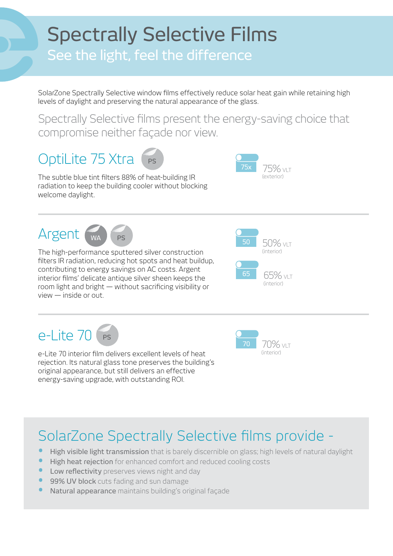## **Spectrally Selective Films**

## See the light, feel the difference

SolarZone Spectrally Selective window films effectively reduce solar heat gain while retaining high levels of daylight and preserving the natural appearance of the glass.

Spectrally Selective films present the energy-saving choice that compromise neither façade nor view.

## OptiLite 75 Xtra PS

The subtle blue tint filters 88% of heat-building IR radiation to keep the building cooler without blocking welcome daylight.



Argent WA FS



The high-performance sputtered silver construction filters IR radiation, reducing hot spots and heat buildup, contributing to energy savings on AC costs. Argent interior films' delicate antique silver sheen keeps the room light and bright  $-$  without sacrificing visibility or  $view - inside$  or out.





e-Lite 70 interior film delivers excellent levels of heat rejection. Its natural glass tone preserves the building's original appearance, but still delivers an effective energy-saving upgrade, with outstanding ROI.



## SolarZone Spectrally Selective films provide -

- High visible light transmission that is barely discernible on glass; high levels of natural daylight
- **Figh heat rejection** for enhanced comfort and reduced cooling costs
- Low reflectivity preserves views night and day
- 99% UV block cuts fading and sun damage
- Natural appearance maintains building's original facade